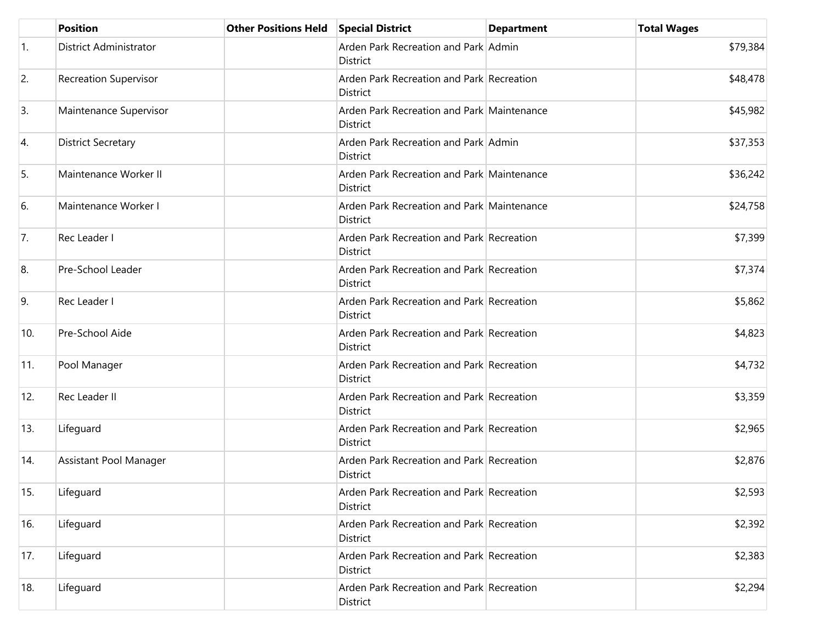|                  | <b>Position</b>               | Other Positions Held Special District |                                                               | <b>Department</b> | <b>Total Wages</b> |
|------------------|-------------------------------|---------------------------------------|---------------------------------------------------------------|-------------------|--------------------|
| $\overline{1}$ . | <b>District Administrator</b> |                                       | Arden Park Recreation and Park Admin<br><b>District</b>       |                   | \$79,384           |
| 2.               | <b>Recreation Supervisor</b>  |                                       | Arden Park Recreation and Park Recreation<br>District         |                   | \$48,478           |
| 3.               | Maintenance Supervisor        |                                       | Arden Park Recreation and Park Maintenance<br><b>District</b> |                   | \$45,982           |
| 4.               | <b>District Secretary</b>     |                                       | Arden Park Recreation and Park Admin<br>District              |                   | \$37,353           |
| 5.               | Maintenance Worker II         |                                       | Arden Park Recreation and Park Maintenance<br>District        |                   | \$36,242           |
| 6.               | Maintenance Worker I          |                                       | Arden Park Recreation and Park Maintenance<br><b>District</b> |                   | \$24,758           |
| 7.               | Rec Leader I                  |                                       | Arden Park Recreation and Park Recreation<br>District         |                   | \$7,399            |
| 8.               | Pre-School Leader             |                                       | Arden Park Recreation and Park Recreation<br><b>District</b>  |                   | \$7,374            |
| 9.               | Rec Leader I                  |                                       | Arden Park Recreation and Park Recreation<br>District         |                   | \$5,862            |
| 10.              | Pre-School Aide               |                                       | Arden Park Recreation and Park Recreation<br><b>District</b>  |                   | \$4,823            |
| 11.              | Pool Manager                  |                                       | Arden Park Recreation and Park Recreation<br><b>District</b>  |                   | \$4,732            |
| 12.              | Rec Leader II                 |                                       | Arden Park Recreation and Park Recreation<br>District         |                   | \$3,359            |
| 13.              | Lifeguard                     |                                       | Arden Park Recreation and Park Recreation<br>District         |                   | \$2,965            |
| 14.              | Assistant Pool Manager        |                                       | Arden Park Recreation and Park Recreation<br>District         |                   | \$2,876            |
| 15.              | Lifeguard                     |                                       | Arden Park Recreation and Park Recreation<br><b>District</b>  |                   | \$2,593            |
| 16.              | Lifeguard                     |                                       | Arden Park Recreation and Park Recreation<br>District         |                   | \$2,392            |
| 17.              | Lifeguard                     |                                       | Arden Park Recreation and Park Recreation<br>District         |                   | \$2,383            |
| 18.              | Lifeguard                     |                                       | Arden Park Recreation and Park Recreation<br>District         |                   | \$2,294            |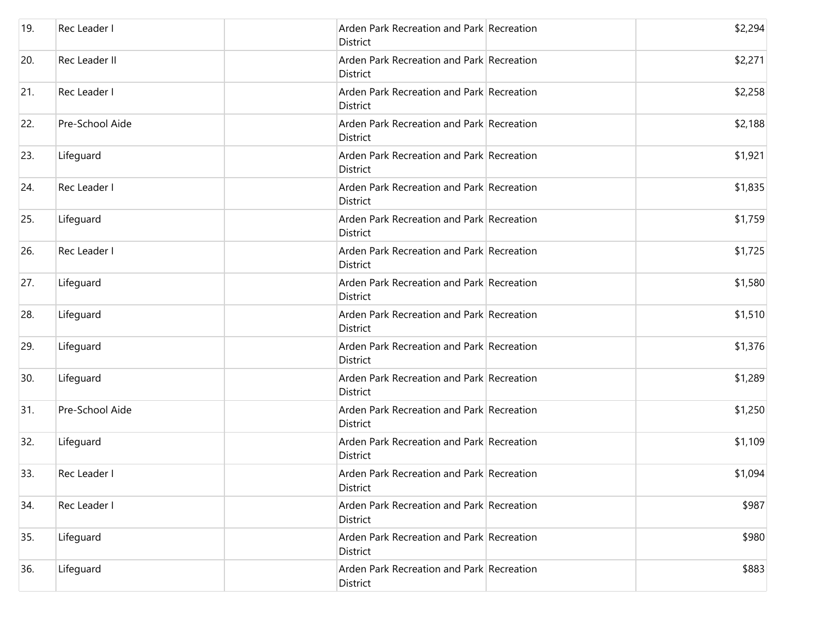| 19. | Rec Leader I    | Arden Park Recreation and Park Recreation<br>District        | \$2,294 |
|-----|-----------------|--------------------------------------------------------------|---------|
| 20. | Rec Leader II   | Arden Park Recreation and Park Recreation<br><b>District</b> | \$2,271 |
| 21. | Rec Leader I    | Arden Park Recreation and Park Recreation<br>District        | \$2,258 |
| 22. | Pre-School Aide | Arden Park Recreation and Park Recreation<br>District        | \$2,188 |
| 23. | Lifeguard       | Arden Park Recreation and Park Recreation<br>District        | \$1,921 |
| 24. | Rec Leader I    | Arden Park Recreation and Park Recreation<br>District        | \$1,835 |
| 25. | Lifeguard       | Arden Park Recreation and Park Recreation<br><b>District</b> | \$1,759 |
| 26. | Rec Leader I    | Arden Park Recreation and Park Recreation<br>District        | \$1,725 |
| 27. | Lifeguard       | Arden Park Recreation and Park Recreation<br>District        | \$1,580 |
| 28. | Lifeguard       | Arden Park Recreation and Park Recreation<br>District        | \$1,510 |
| 29. | Lifeguard       | Arden Park Recreation and Park Recreation<br><b>District</b> | \$1,376 |
| 30. | Lifeguard       | Arden Park Recreation and Park Recreation<br>District        | \$1,289 |
| 31. | Pre-School Aide | Arden Park Recreation and Park Recreation<br>District        | \$1,250 |
| 32. | Lifeguard       | Arden Park Recreation and Park Recreation<br><b>District</b> | \$1,109 |
| 33. | Rec Leader I    | Arden Park Recreation and Park Recreation<br>District        | \$1,094 |
| 34. | Rec Leader I    | Arden Park Recreation and Park Recreation<br>District        | \$987   |
| 35. | Lifeguard       | Arden Park Recreation and Park Recreation<br>District        | \$980   |
| 36. | Lifeguard       | Arden Park Recreation and Park Recreation<br><b>District</b> | \$883   |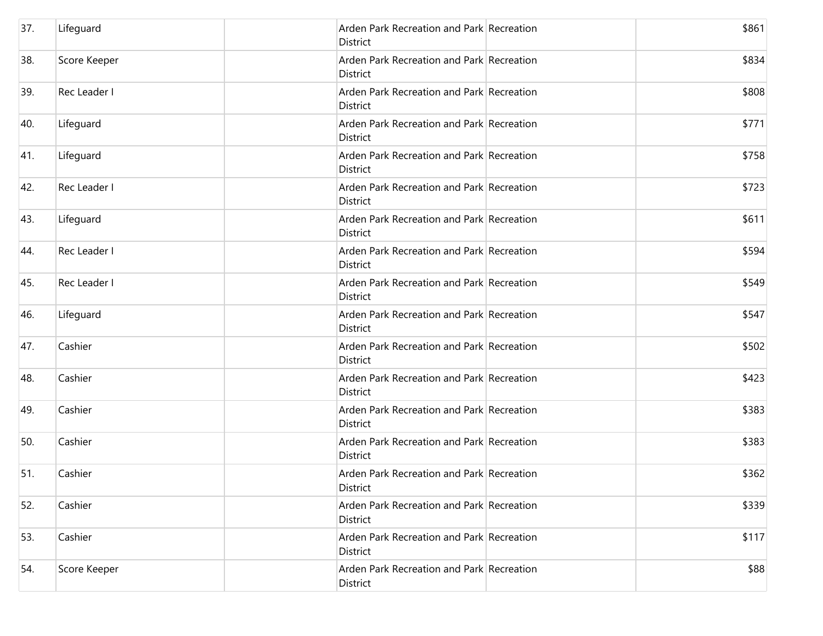| 37. | Lifeguard    | Arden Park Recreation and Park Recreation<br>District        | \$861 |
|-----|--------------|--------------------------------------------------------------|-------|
| 38. | Score Keeper | Arden Park Recreation and Park Recreation<br>District        | \$834 |
| 39. | Rec Leader I | Arden Park Recreation and Park Recreation<br><b>District</b> | \$808 |
| 40. | Lifeguard    | Arden Park Recreation and Park Recreation<br><b>District</b> | \$771 |
| 41. | Lifeguard    | Arden Park Recreation and Park Recreation<br>District        | \$758 |
| 42. | Rec Leader I | Arden Park Recreation and Park Recreation<br><b>District</b> | \$723 |
| 43. | Lifeguard    | Arden Park Recreation and Park Recreation<br><b>District</b> | \$611 |
| 44. | Rec Leader I | Arden Park Recreation and Park Recreation<br><b>District</b> | \$594 |
| 45. | Rec Leader I | Arden Park Recreation and Park Recreation<br>District        | \$549 |
| 46. | Lifeguard    | Arden Park Recreation and Park Recreation<br>District        | \$547 |
| 47. | Cashier      | Arden Park Recreation and Park Recreation<br>District        | \$502 |
| 48. | Cashier      | Arden Park Recreation and Park Recreation<br><b>District</b> | \$423 |
| 49. | Cashier      | Arden Park Recreation and Park Recreation<br><b>District</b> | \$383 |
| 50. | Cashier      | Arden Park Recreation and Park Recreation<br><b>District</b> | \$383 |
| 51. | Cashier      | Arden Park Recreation and Park Recreation<br>District        | \$362 |
| 52. | Cashier      | Arden Park Recreation and Park Recreation<br><b>District</b> | \$339 |
| 53. | Cashier      | Arden Park Recreation and Park Recreation<br><b>District</b> | \$117 |
| 54. | Score Keeper | Arden Park Recreation and Park Recreation<br>District        | \$88  |